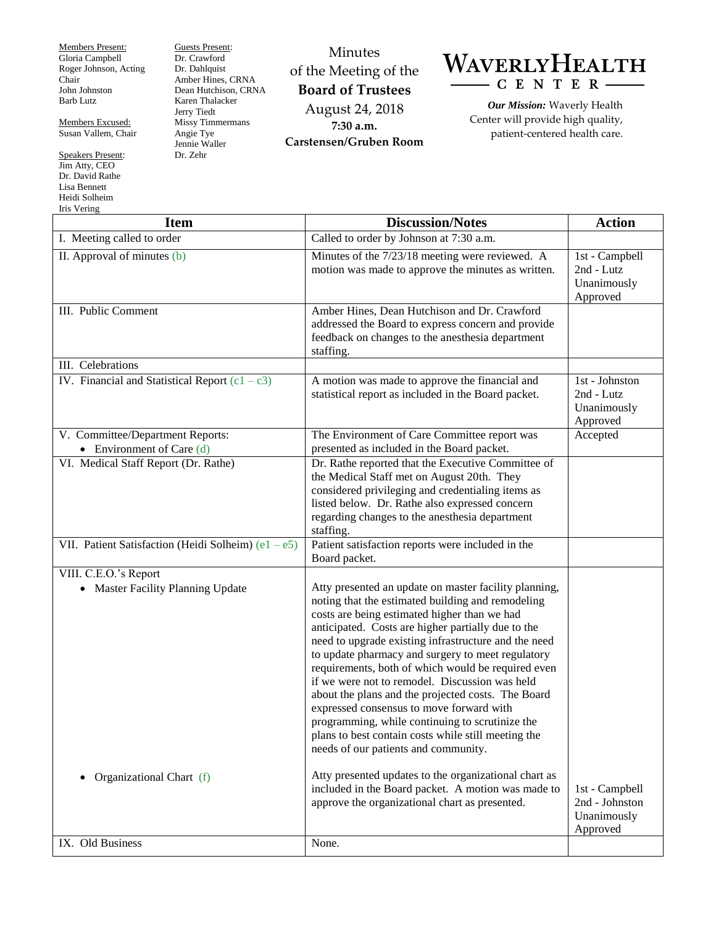Members Present: Gloria Campbell Roger Johnson, Acting Chair John Johnston Barb Lutz

Members Excused: Susan Vallem, Chair

Speakers Present: Jim Atty, CEO Dr. David Rathe Lisa Bennett Heidi Solheim Iris Vering

Guests Present: Dr. Crawford Dr. Dahlquist Amber Hines, CRNA Dean Hutchison, CRNA Karen Thalacker Jerry Tiedt Missy Timmermans Angie Tye Jennie Waller Dr. Zehr

Minutes of the Meeting of the **Board of Trustees** August 24, 2018 **7:30 a.m. Carstensen/Gruben Room**



*Our Mission:* Waverly Health Center will provide high quality, patient-centered health care.

| 1115 v china<br><b>Item</b>                                     | <b>Discussion/Notes</b>                                                                                                                                                                                                                                                                                                                                                                                                                                                                                                                                                                                                                                                                   | <b>Action</b>                                               |
|-----------------------------------------------------------------|-------------------------------------------------------------------------------------------------------------------------------------------------------------------------------------------------------------------------------------------------------------------------------------------------------------------------------------------------------------------------------------------------------------------------------------------------------------------------------------------------------------------------------------------------------------------------------------------------------------------------------------------------------------------------------------------|-------------------------------------------------------------|
| I. Meeting called to order                                      | Called to order by Johnson at 7:30 a.m.                                                                                                                                                                                                                                                                                                                                                                                                                                                                                                                                                                                                                                                   |                                                             |
| II. Approval of minutes (b)                                     | Minutes of the 7/23/18 meeting were reviewed. A<br>motion was made to approve the minutes as written.                                                                                                                                                                                                                                                                                                                                                                                                                                                                                                                                                                                     | 1st - Campbell<br>2nd - Lutz<br>Unanimously<br>Approved     |
| III. Public Comment                                             | Amber Hines, Dean Hutchison and Dr. Crawford<br>addressed the Board to express concern and provide<br>feedback on changes to the anesthesia department<br>staffing.                                                                                                                                                                                                                                                                                                                                                                                                                                                                                                                       |                                                             |
| III. Celebrations                                               |                                                                                                                                                                                                                                                                                                                                                                                                                                                                                                                                                                                                                                                                                           |                                                             |
| IV. Financial and Statistical Report $(c1 - c3)$                | A motion was made to approve the financial and<br>statistical report as included in the Board packet.                                                                                                                                                                                                                                                                                                                                                                                                                                                                                                                                                                                     | 1st - Johnston<br>2nd - Lutz<br>Unanimously<br>Approved     |
| V. Committee/Department Reports:<br>• Environment of Care $(d)$ | The Environment of Care Committee report was<br>presented as included in the Board packet.                                                                                                                                                                                                                                                                                                                                                                                                                                                                                                                                                                                                | Accepted                                                    |
| VI. Medical Staff Report (Dr. Rathe)                            | Dr. Rathe reported that the Executive Committee of<br>the Medical Staff met on August 20th. They<br>considered privileging and credentialing items as<br>listed below. Dr. Rathe also expressed concern<br>regarding changes to the anesthesia department<br>staffing.                                                                                                                                                                                                                                                                                                                                                                                                                    |                                                             |
| VII. Patient Satisfaction (Heidi Solheim) $(e1 - e5)$           | Patient satisfaction reports were included in the<br>Board packet.                                                                                                                                                                                                                                                                                                                                                                                                                                                                                                                                                                                                                        |                                                             |
| VIII. C.E.O.'s Report<br>• Master Facility Planning Update      | Atty presented an update on master facility planning,<br>noting that the estimated building and remodeling<br>costs are being estimated higher than we had<br>anticipated. Costs are higher partially due to the<br>need to upgrade existing infrastructure and the need<br>to update pharmacy and surgery to meet regulatory<br>requirements, both of which would be required even<br>if we were not to remodel. Discussion was held<br>about the plans and the projected costs. The Board<br>expressed consensus to move forward with<br>programming, while continuing to scrutinize the<br>plans to best contain costs while still meeting the<br>needs of our patients and community. |                                                             |
| Organizational Chart (f)                                        | Atty presented updates to the organizational chart as<br>included in the Board packet. A motion was made to<br>approve the organizational chart as presented.                                                                                                                                                                                                                                                                                                                                                                                                                                                                                                                             | 1st - Campbell<br>2nd - Johnston<br>Unanimously<br>Approved |
| IX. Old Business                                                | None.                                                                                                                                                                                                                                                                                                                                                                                                                                                                                                                                                                                                                                                                                     |                                                             |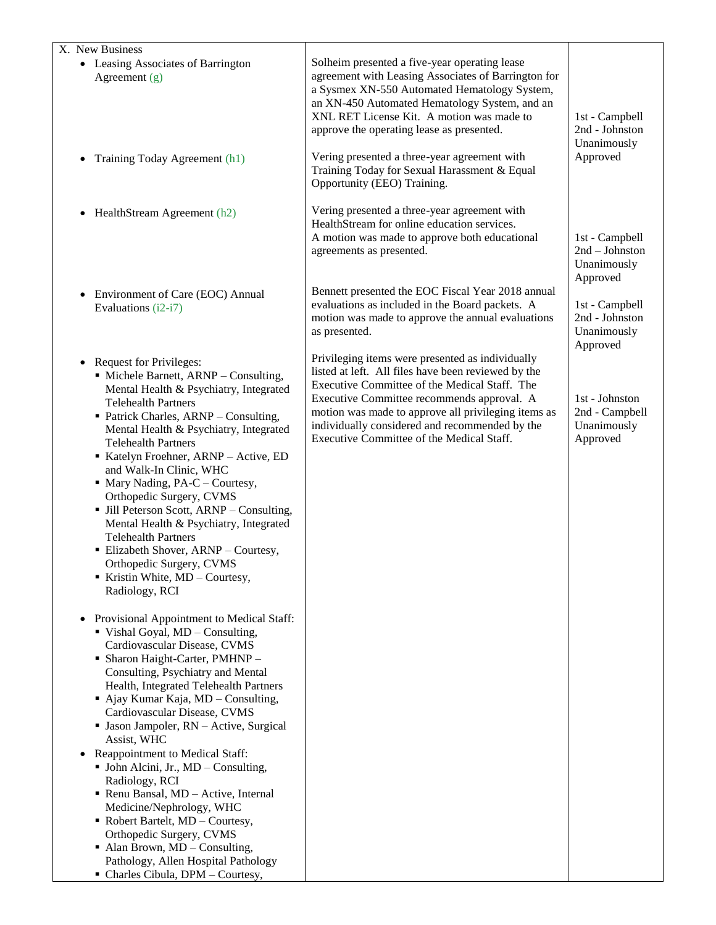| X. New Business<br>• Leasing Associates of Barrington<br>Agreement $(g)$                                                                                                                                                                                                                                                                                                                                                                                                                                                                                                                                                                                                                                                                                                                                                                                                                                                                                                                                                                                                                                                                                                                                                                                                             | Solheim presented a five-year operating lease<br>agreement with Leasing Associates of Barrington for<br>a Sysmex XN-550 Automated Hematology System,<br>an XN-450 Automated Hematology System, and an<br>XNL RET License Kit. A motion was made to<br>approve the operating lease as presented.                                                              | 1st - Campbell<br>2nd - Johnston<br>Unanimously              |
|--------------------------------------------------------------------------------------------------------------------------------------------------------------------------------------------------------------------------------------------------------------------------------------------------------------------------------------------------------------------------------------------------------------------------------------------------------------------------------------------------------------------------------------------------------------------------------------------------------------------------------------------------------------------------------------------------------------------------------------------------------------------------------------------------------------------------------------------------------------------------------------------------------------------------------------------------------------------------------------------------------------------------------------------------------------------------------------------------------------------------------------------------------------------------------------------------------------------------------------------------------------------------------------|--------------------------------------------------------------------------------------------------------------------------------------------------------------------------------------------------------------------------------------------------------------------------------------------------------------------------------------------------------------|--------------------------------------------------------------|
| Training Today Agreement (h1)<br>$\bullet$                                                                                                                                                                                                                                                                                                                                                                                                                                                                                                                                                                                                                                                                                                                                                                                                                                                                                                                                                                                                                                                                                                                                                                                                                                           | Vering presented a three-year agreement with<br>Training Today for Sexual Harassment & Equal<br>Opportunity (EEO) Training.                                                                                                                                                                                                                                  | Approved                                                     |
| HealthStream Agreement (h2)                                                                                                                                                                                                                                                                                                                                                                                                                                                                                                                                                                                                                                                                                                                                                                                                                                                                                                                                                                                                                                                                                                                                                                                                                                                          | Vering presented a three-year agreement with<br>HealthStream for online education services.<br>A motion was made to approve both educational<br>agreements as presented.                                                                                                                                                                                     | 1st - Campbell<br>$2nd - Johnson$<br>Unanimously<br>Approved |
| Environment of Care (EOC) Annual<br>Evaluations (i2-i7)                                                                                                                                                                                                                                                                                                                                                                                                                                                                                                                                                                                                                                                                                                                                                                                                                                                                                                                                                                                                                                                                                                                                                                                                                              | Bennett presented the EOC Fiscal Year 2018 annual<br>evaluations as included in the Board packets. A<br>motion was made to approve the annual evaluations<br>as presented.                                                                                                                                                                                   | 1st - Campbell<br>2nd - Johnston<br>Unanimously<br>Approved  |
| • Request for Privileges:<br>• Michele Barnett, ARNP - Consulting,<br>Mental Health & Psychiatry, Integrated<br><b>Telehealth Partners</b><br>• Patrick Charles, ARNP - Consulting,<br>Mental Health & Psychiatry, Integrated<br><b>Telehealth Partners</b><br>Katelyn Froehner, ARNP - Active, ED<br>and Walk-In Clinic, WHC<br>$\blacksquare$ Mary Nading, PA-C – Courtesy,<br>Orthopedic Surgery, CVMS<br>• Jill Peterson Scott, ARNP - Consulting,<br>Mental Health & Psychiatry, Integrated<br><b>Telehealth Partners</b><br>· Elizabeth Shover, ARNP - Courtesy,<br>Orthopedic Surgery, CVMS<br>Kristin White, MD - Courtesy,<br>Radiology, RCI<br>Provisional Appointment to Medical Staff:<br>■ Vishal Goyal, MD – Consulting,<br>Cardiovascular Disease, CVMS<br>• Sharon Haight-Carter, PMHNP -<br>Consulting, Psychiatry and Mental<br>Health, Integrated Telehealth Partners<br>$\blacksquare$ Ajay Kumar Kaja, MD – Consulting,<br>Cardiovascular Disease, CVMS<br>· Jason Jampoler, RN - Active, Surgical<br>Assist, WHC<br>Reappointment to Medical Staff:<br>• John Alcini, Jr., MD – Consulting,<br>Radiology, RCI<br>• Renu Bansal, MD - Active, Internal<br>Medicine/Nephrology, WHC<br>$\blacksquare$ Robert Bartelt, MD – Courtesy,<br>Orthopedic Surgery, CVMS | Privileging items were presented as individually<br>listed at left. All files have been reviewed by the<br>Executive Committee of the Medical Staff. The<br>Executive Committee recommends approval. A<br>motion was made to approve all privileging items as<br>individually considered and recommended by the<br>Executive Committee of the Medical Staff. | 1st - Johnston<br>2nd - Campbell<br>Unanimously<br>Approved  |
| $\blacksquare$ Alan Brown, MD – Consulting,<br>Pathology, Allen Hospital Pathology<br>• Charles Cibula, DPM - Courtesy,                                                                                                                                                                                                                                                                                                                                                                                                                                                                                                                                                                                                                                                                                                                                                                                                                                                                                                                                                                                                                                                                                                                                                              |                                                                                                                                                                                                                                                                                                                                                              |                                                              |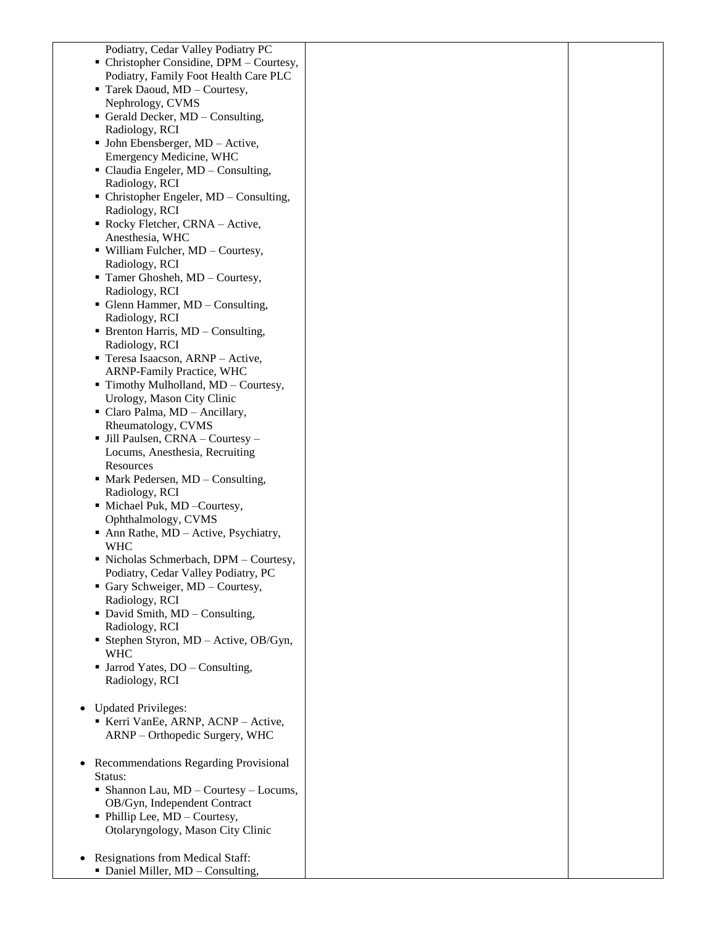| Podiatry, Cedar Valley Podiatry PC                   |  |
|------------------------------------------------------|--|
| • Christopher Considine, DPM - Courtesy,             |  |
| Podiatry, Family Foot Health Care PLC                |  |
| Tarek Daoud, MD - Courtesy,                          |  |
| Nephrology, CVMS                                     |  |
| Gerald Decker, MD - Consulting,                      |  |
| Radiology, RCI                                       |  |
| • John Ebensberger, MD - Active,                     |  |
| Emergency Medicine, WHC                              |  |
| • Claudia Engeler, MD - Consulting,                  |  |
| Radiology, RCI                                       |  |
| $\blacksquare$ Christopher Engeler, MD – Consulting, |  |
| Radiology, RCI                                       |  |
| Rocky Fletcher, CRNA - Active,                       |  |
| Anesthesia, WHC                                      |  |
| · William Fulcher, MD - Courtesy,                    |  |
|                                                      |  |
| Radiology, RCI                                       |  |
| Tamer Ghosheh, MD - Courtesy,<br>Radiology, RCI      |  |
| • Glenn Hammer, MD - Consulting,                     |  |
|                                                      |  |
| Radiology, RCI                                       |  |
| • Brenton Harris, MD – Consulting,                   |  |
| Radiology, RCI                                       |  |
| Teresa Isaacson, ARNP - Active,                      |  |
| ARNP-Family Practice, WHC                            |  |
| Timothy Mulholland, MD - Courtesy,                   |  |
| Urology, Mason City Clinic                           |  |
| • Claro Palma, MD - Ancillary,                       |  |
| Rheumatology, CVMS                                   |  |
| • Jill Paulsen, CRNA - Courtesy -                    |  |
| Locums, Anesthesia, Recruiting                       |  |
| Resources                                            |  |
| • Mark Pedersen, MD – Consulting,                    |  |
| Radiology, RCI                                       |  |
| • Michael Puk, MD - Courtesy,                        |  |
| Ophthalmology, CVMS                                  |  |
| • Ann Rathe, $MD - Active$ , Psychiatry,             |  |
| <b>WHC</b>                                           |  |
| · Nicholas Schmerbach, DPM - Courtesy,               |  |
| Podiatry, Cedar Valley Podiatry, PC                  |  |
| Gary Schweiger, MD - Courtesy,                       |  |
| Radiology, RCI                                       |  |
| • David Smith, MD - Consulting,                      |  |
| Radiology, RCI                                       |  |
| <b>Stephen Styron, MD</b> - Active, OB/Gyn,          |  |
| <b>WHC</b>                                           |  |
| $\blacksquare$ Jarrod Yates, DO – Consulting,        |  |
| Radiology, RCI                                       |  |
|                                                      |  |
| <b>Updated Privileges:</b>                           |  |
| Kerri VanEe, ARNP, ACNP - Active,                    |  |
| ARNP – Orthopedic Surgery, WHC                       |  |
|                                                      |  |
| Recommendations Regarding Provisional                |  |
| Status:                                              |  |
| • Shannon Lau, $MD -$ Courtesy - Locums,             |  |
| OB/Gyn, Independent Contract                         |  |
| • Phillip Lee, MD - Courtesy,                        |  |
| Otolaryngology, Mason City Clinic                    |  |
|                                                      |  |
| <b>Resignations from Medical Staff:</b>              |  |
| • Daniel Miller, MD - Consulting,                    |  |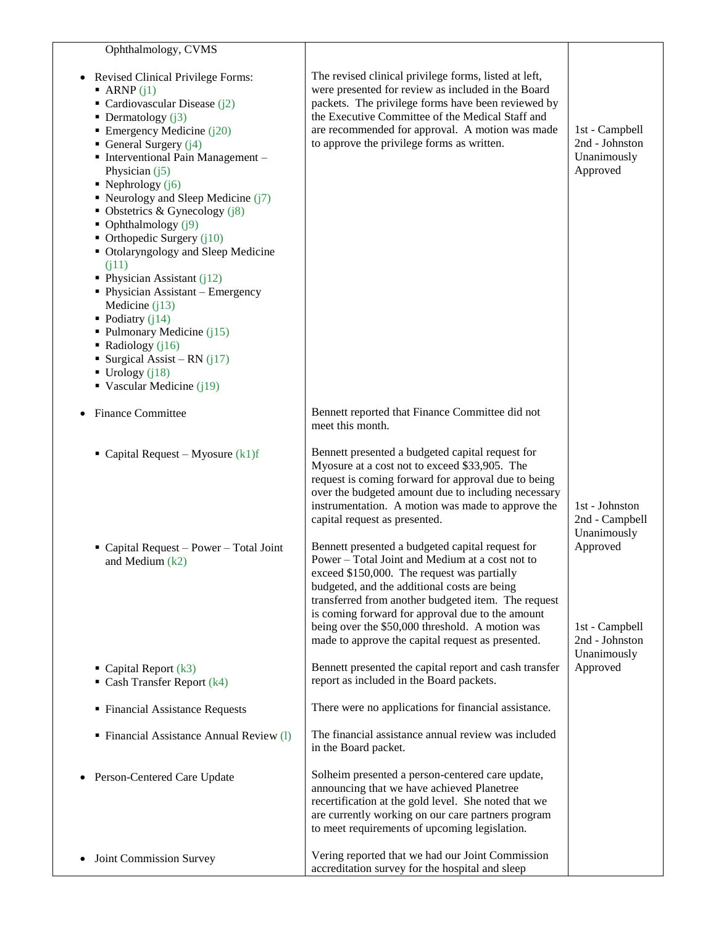| Ophthalmology, CVMS                                                                                                                                                                                                                                                                                                                                                                                                                                                                                                                                                                                                                                                                                                          |                                                                                                                                                                                                                                                                                                                                                                                                                       |                                                             |
|------------------------------------------------------------------------------------------------------------------------------------------------------------------------------------------------------------------------------------------------------------------------------------------------------------------------------------------------------------------------------------------------------------------------------------------------------------------------------------------------------------------------------------------------------------------------------------------------------------------------------------------------------------------------------------------------------------------------------|-----------------------------------------------------------------------------------------------------------------------------------------------------------------------------------------------------------------------------------------------------------------------------------------------------------------------------------------------------------------------------------------------------------------------|-------------------------------------------------------------|
| Revised Clinical Privilege Forms:<br>$\blacksquare$ ARNP (j1)<br>• Cardiovascular Disease $(i2)$<br>• Dermatology $(i3)$<br>Emergency Medicine $(j20)$<br>General Surgery $(i4)$<br>· Interventional Pain Management -<br>Physician $(i5)$<br>• Nephrology $(j6)$<br>Neurology and Sleep Medicine $(j7)$<br>• Obstetrics & Gynecology $(j8)$<br>• Ophthalmology $(j9)$<br>• Orthopedic Surgery $(i10)$<br>• Otolaryngology and Sleep Medicine<br>(i11)<br>• Physician Assistant $(j12)$<br>• Physician Assistant - Emergency<br>Medicine $(i13)$<br>• Podiatry $(i14)$<br>• Pulmonary Medicine $(i15)$<br>• Radiology $(i16)$<br>Surgical Assist – RN $(i17)$<br>$\blacksquare$ Urology (j18)<br>• Vascular Medicine $(i19)$ | The revised clinical privilege forms, listed at left,<br>were presented for review as included in the Board<br>packets. The privilege forms have been reviewed by<br>the Executive Committee of the Medical Staff and<br>are recommended for approval. A motion was made<br>to approve the privilege forms as written.                                                                                                | 1st - Campbell<br>2nd - Johnston<br>Unanimously<br>Approved |
| <b>Finance Committee</b>                                                                                                                                                                                                                                                                                                                                                                                                                                                                                                                                                                                                                                                                                                     | Bennett reported that Finance Committee did not<br>meet this month.                                                                                                                                                                                                                                                                                                                                                   |                                                             |
| • Capital Request – Myosure $(k1)f$                                                                                                                                                                                                                                                                                                                                                                                                                                                                                                                                                                                                                                                                                          | Bennett presented a budgeted capital request for<br>Myosure at a cost not to exceed \$33,905. The<br>request is coming forward for approval due to being<br>over the budgeted amount due to including necessary<br>instrumentation. A motion was made to approve the<br>capital request as presented.                                                                                                                 | 1st - Johnston<br>2nd - Campbell<br>Unanimously             |
| $\blacksquare$ Capital Request – Power – Total Joint<br>and Medium $(k2)$                                                                                                                                                                                                                                                                                                                                                                                                                                                                                                                                                                                                                                                    | Bennett presented a budgeted capital request for<br>Power – Total Joint and Medium at a cost not to<br>exceed \$150,000. The request was partially<br>budgeted, and the additional costs are being<br>transferred from another budgeted item. The request<br>is coming forward for approval due to the amount<br>being over the \$50,000 threshold. A motion was<br>made to approve the capital request as presented. | Approved<br>1st - Campbell<br>2nd - Johnston<br>Unanimously |
| $\blacksquare$ Capital Report (k3)<br>$\blacksquare$ Cash Transfer Report (k4)                                                                                                                                                                                                                                                                                                                                                                                                                                                                                                                                                                                                                                               | Bennett presented the capital report and cash transfer<br>report as included in the Board packets.                                                                                                                                                                                                                                                                                                                    | Approved                                                    |
| • Financial Assistance Requests                                                                                                                                                                                                                                                                                                                                                                                                                                                                                                                                                                                                                                                                                              | There were no applications for financial assistance.                                                                                                                                                                                                                                                                                                                                                                  |                                                             |
| • Financial Assistance Annual Review (1)                                                                                                                                                                                                                                                                                                                                                                                                                                                                                                                                                                                                                                                                                     | The financial assistance annual review was included<br>in the Board packet.                                                                                                                                                                                                                                                                                                                                           |                                                             |
| Person-Centered Care Update                                                                                                                                                                                                                                                                                                                                                                                                                                                                                                                                                                                                                                                                                                  | Solheim presented a person-centered care update,<br>announcing that we have achieved Planetree<br>recertification at the gold level. She noted that we<br>are currently working on our care partners program<br>to meet requirements of upcoming legislation.                                                                                                                                                         |                                                             |
| Joint Commission Survey                                                                                                                                                                                                                                                                                                                                                                                                                                                                                                                                                                                                                                                                                                      | Vering reported that we had our Joint Commission<br>accreditation survey for the hospital and sleep                                                                                                                                                                                                                                                                                                                   |                                                             |